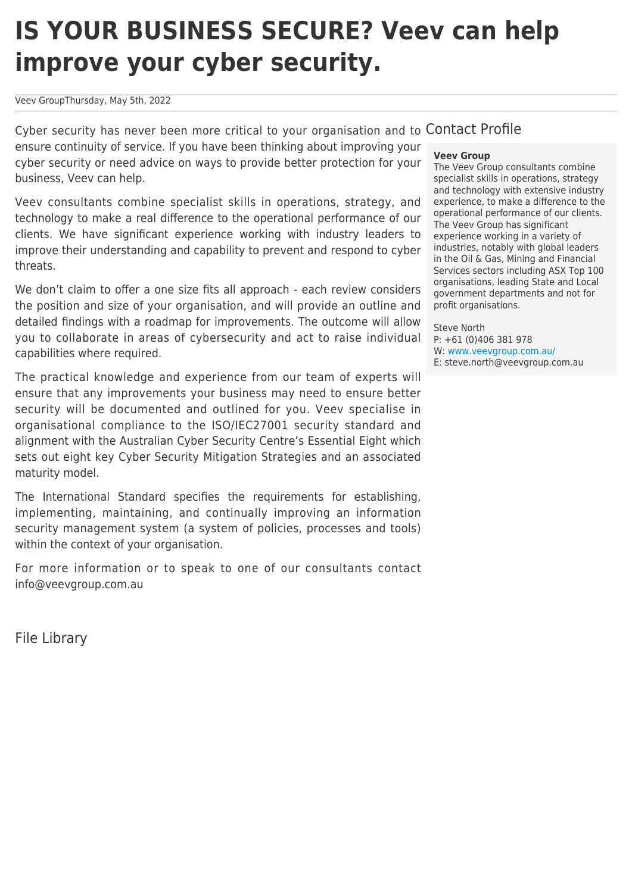# **IS YOUR BUSINESS SECURE? Veev can help improve your cyber security.**

Veev GroupThursday, May 5th, 2022

Cyber security has never been more critical to your organisation and to Contact Profile ensure continuity of service. If you have been thinking about improving your cyber security or need advice on ways to provide better protection for your business, Veev can help.

Veev consultants combine specialist skills in operations, strategy, and technology to make a real difference to the operational performance of our clients. We have significant experience working with industry leaders to improve their understanding and capability to prevent and respond to cyber threats.

We don't claim to offer a one size fits all approach - each review considers the position and size of your organisation, and will provide an outline and detailed findings with a roadmap for improvements. The outcome will allow you to collaborate in areas of cybersecurity and act to raise individual capabilities where required.

The practical knowledge and experience from our team of experts will ensure that any improvements your business may need to ensure better security will be documented and outlined for you. Veev specialise in organisational compliance to the ISO/IEC27001 security standard and alignment with the Australian Cyber Security Centre's Essential Eight which sets out eight key Cyber Security Mitigation Strategies and an associated maturity model.

The International Standard specifies the requirements for establishing, implementing, maintaining, and continually improving an information security management system (a system of policies, processes and tools) within the context of your organisation.

For more information or to speak to one of our consultants contact info@veevgroup.com.au

File Library

# **Veev Group**

The Veev Group consultants combine specialist skills in operations, strategy and technology with extensive industry experience, to make a difference to the operational performance of our clients. The Veev Group has significant experience working in a variety of industries, notably with global leaders in the Oil & Gas, Mining and Financial Services sectors including ASX Top 100 organisations, leading State and Local government departments and not for profit organisations.

Steve North P: +61 (0)406 381 978 W: [www.veevgroup.com.au/](http://www.veevgroup.com.au/) E: steve.north@veevgroup.com.au